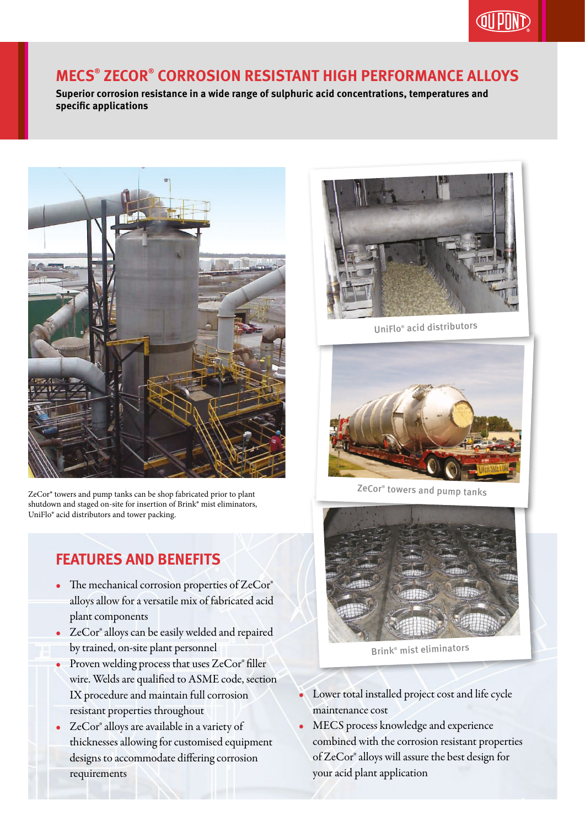

## **MECS® ZECOR® CORROSION RESISTANT HIGH PERFORMANCE ALLOYS**

**Superior corrosion resistance in a wide range of sulphuric acid concentrations, temperatures and specific applications**



ZeCor® towers and pump tanks can be shop fabricated prior to plant shutdown and staged on-site for insertion of Brink® mist eliminators, UniFlo® acid distributors and tower packing.

## **FEATURES AND BENEFITS**

- The mechanical corrosion properties of ZeCor® alloys allow for a versatile mix of fabricated acid plant components
- ZeCor® alloys can be easily welded and repaired by trained, on-site plant personnel
- Proven welding process that uses ZeCor® filler wire. Welds are qualified to ASME code, section IX procedure and maintain full corrosion resistant properties throughout
- ZeCor® alloys are available in a variety of thicknesses allowing for customised equipment designs to accommodate differing corrosion requirements



UniFlo® acid distributors



ZeCor® towers and pump tanks



Brink® mist eliminators

- Lower total installed project cost and life cycle maintenance cost
- MECS process knowledge and experience combined with the corrosion resistant properties of ZeCor® alloys will assure the best design for your acid plant application